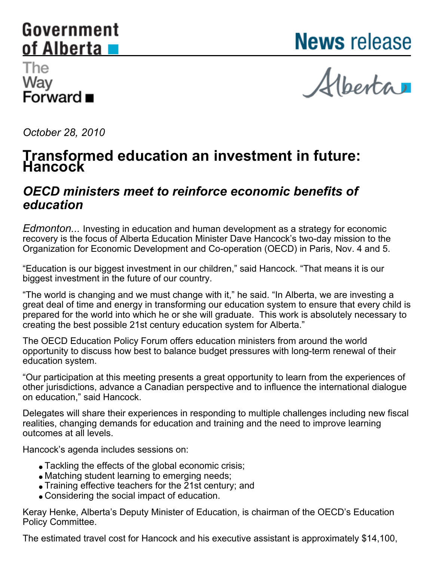### <span id="page-0-0"></span>Government of Alberta

**News** release

#### The Way Forward ■

Alberta

*October 28, 2010*

## **Transformed education an investment in future: Hancock**

#### *OECD ministers meet to reinforce economic benefits of education*

*Edmonton...* Investing in education and human development as a strategy for economic recovery is the focus of Alberta Education Minister Dave Hancock's two-day mission to the Organization for Economic Development and Co-operation (OECD) in Paris, Nov. 4 and 5.

"Education is our biggest investment in our children," said Hancock. "That means it is our biggest investment in the future of our country.

"The world is changing and we must change with it," he said. "In Alberta, we are investing a great deal of time and energy in transforming our education system to ensure that every child is prepared for the world into which he or she will graduate. This work is absolutely necessary to creating the best possible 21st century education system for Alberta."

The OECD Education Policy Forum offers education ministers from around the world opportunity to discuss how best to balance budget pressures with long-term renewal of their education system.

"Our participation at this meeting presents a great opportunity to learn from the experiences of other jurisdictions, advance a Canadian perspective and to influence the international dialogue on education," said Hancock.

Delegates will share their experiences in responding to multiple challenges including new fiscal realities, changing demands for education and training and the need to improve learning outcomes at all levels.

Hancock's agenda includes sessions on:

- Tackling the effects of the global economic crisis;
- Matching student learning to emerging needs;
- Training effective teachers for the 21st century; and
- Considering the social impact of education.

Keray Henke, Alberta's Deputy Minister of Education, is chairman of the OECD's Education Policy Committee.

The estimated travel cost for Hancock and his executive assistant is approximately \$14,100,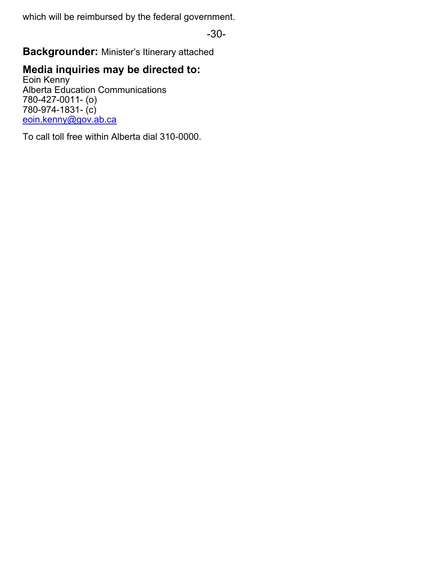which will be reimbursed by the federal government.

-30-

**Backgrounder:** Minister's Itinerary attached

#### **Media inquiries may be directed to:**

Eoin Kenny Alberta Education Communications 780-427-0011- (o) 780-974-1831- (c) [eoin.kenny@gov.ab.ca](mailto:eoin.kenny@gov.ab.ca)

To call toll free within Alberta dial 310-0000.